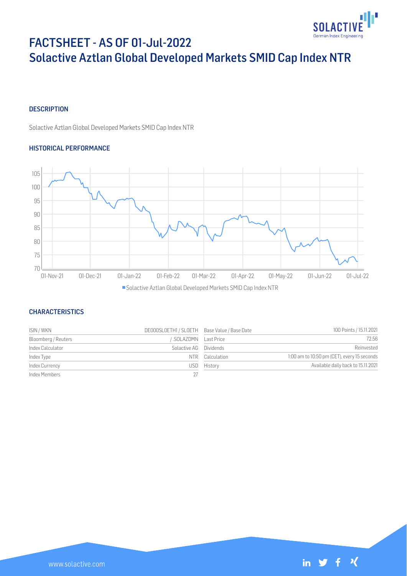

# FACTSHEET - AS OF 01-Jul-2022 Solactive Aztlan Global Developed Markets SMID Cap Index NTR

## **DESCRIPTION**

Solactive Aztlan Global Developed Markets SMID Cap Index NTR

## HISTORICAL PERFORMANCE



## **CHARACTERISTICS**

| ISIN / WKN          | DE000SLOETH1 / SLOETH Base Value / Base Date |             | 100 Points / 15.11.2021                     |
|---------------------|----------------------------------------------|-------------|---------------------------------------------|
| Bloomberg / Reuters | SOLAZDMN Last Price                          |             | 72.56                                       |
| Index Calculator    | Solactive AG Dividends                       |             | Reinvested                                  |
| Index Type          | N FR-                                        | Calculation | 1:00 am to 10:50 pm (CET), every 15 seconds |
| Index Currency      | USD-                                         | History     | Available daily back to 15.11.2021          |
| Index Members       |                                              |             |                                             |

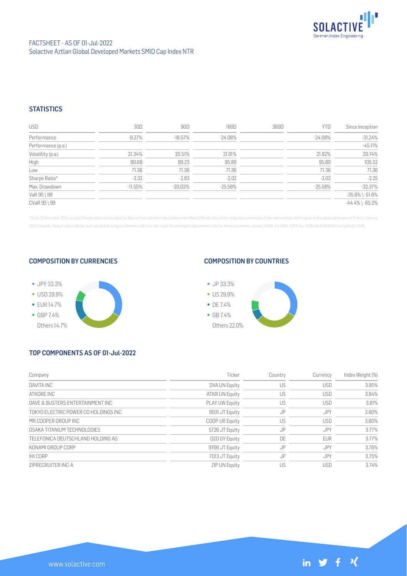

## FACTSHEET - AS OF 01-Jul-2022 Solactive Aztlan Global Developed Markets SMID Cap Index NTR

## **STATISTICS**

| <b>USD</b>         | 30D       | 90D     | 180D       | 360D | <b>YTD</b> | Since Inception       |
|--------------------|-----------|---------|------------|------|------------|-----------------------|
| Performance        | -9.27%    | -18.57% | -24.08%    |      | -24.08%    | $-31.24%$             |
| Performance (p.a.) |           |         |            |      |            | $-45.11%$             |
| Volatility (p.a.)  | 21.34%    | 20.51%  | 21.91%     |      | 21.82%     | 20.74%                |
| High               | 80.68     | 89.23   | 95.89      |      | 95.89      | 105.52                |
| Low                | 71.36     | 71.36   | 71.36      |      | 71.36      | 71.36                 |
| Sharpe Ratio*      | $-3.32$   | $-2.83$ | $-2.02$    |      | $-2.02$    | $-2.25$               |
| Max. Drawdown      | $-11.55%$ | -20.03% | $-25.58\%$ |      | $-25.58%$  | $-32.37%$             |
| VaR 95 \ 99        |           |         |            |      |            | $-35.8\%$ \ $-51.6\%$ |
| CVaR 95 \ 99       |           |         |            |      |            | $-44.4\%$ \ $-65.2\%$ |

\* Up to 31 December 2021, ex-post Sharpe ratios use as input for the risk free rate term the London Inter-Bank Offered rates in the respective currencies of the index and at a term equal to the observation period. From 3 J 2022 onwards, Sharpe ratios will be / are calculated using as reference risk free rate input the overnight replacement rate for these currencies, namely SONIA (for GBP), SOFR (for USD) and EURIBOR Overnight (for EUR).

## COMPOSITION BY CURRENCIES



## COMPOSITION BY COUNTRIES



# TOP COMPONENTS AS OF 01-Jul-2022

| Company                              | Ticker                | Country | Currency   | Index Weight (%) |
|--------------------------------------|-----------------------|---------|------------|------------------|
| DAVITA INC                           | DVA UN Equity         | US      | <b>USD</b> | 3.85%            |
| ATKORF INC                           | ATKR UN Equity        | US      | <b>USD</b> | 3.84%            |
| DAVE & BUSTERS ENTERTAINMENT INC     | <b>PLAY UW Equity</b> | US      | <b>USD</b> | 3.81%            |
| TOKYO ELECTRIC POWER CO HOLDINGS INC | 9501 JT Equity        | JP      | JPY        | 3.80%            |
| MR COOPER GROUP INC                  | COOP UR Equity        | US      | <b>USD</b> | 3.80%            |
| OSAKA TITANIUM TECHNOLOGIES          | 5726 JT Equity        | JP      | JPY        | 3.77%            |
| TELEFONICA DEUTSCHLAND HOLDING AG    | 02D GY Equity         | DE      | <b>EUR</b> | 3.77%            |
| KONAMI GROUP CORP                    | 9766 JT Equity        | JP      | JPY        | 3.76%            |
| <b>IHICORP</b>                       | 7013 JT Equity        | JP      | <b>JPY</b> | 3.75%            |
| ZIPRECRUITER INC-A                   | <b>ZIP UN Equity</b>  | US      | <b>USD</b> | 3.74%            |